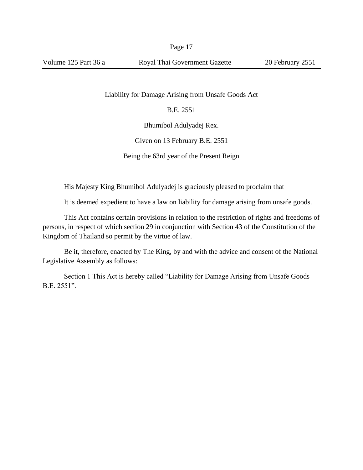Liability for Damage Arising from Unsafe Goods Act

B.E. 2551

Bhumibol Adulyadej Rex.

Given on 13 February B.E. 2551

Being the 63rd year of the Present Reign

His Majesty King Bhumibol Adulyadej is graciously pleased to proclaim that

It is deemed expedient to have a law on liability for damage arising from unsafe goods.

This Act contains certain provisions in relation to the restriction of rights and freedoms of persons, in respect of which section 29 in conjunction with Section 43 of the Constitution of the Kingdom of Thailand so permit by the virtue of law.

Be it, therefore, enacted by The King, by and with the advice and consent of the National Legislative Assembly as follows:

Section 1 This Act is hereby called "Liability for Damage Arising from Unsafe Goods B.E. 2551".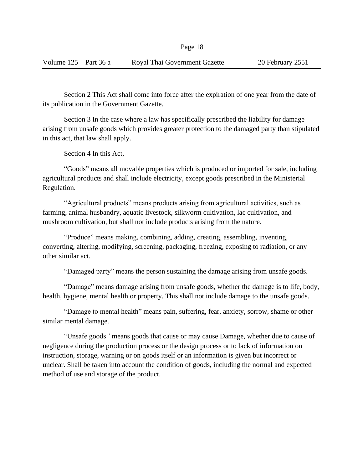Section 2 This Act shall come into force after the expiration of one year from the date of its publication in the Government Gazette.

Section 3 In the case where a law has specifically prescribed the liability for damage arising from unsafe goods which provides greater protection to the damaged party than stipulated in this act, that law shall apply.

Section 4 In this Act,

"Goods" means all movable properties which is produced or imported for sale, including agricultural products and shall include electricity*,* except goods prescribed in the Ministerial Regulation.

"Agricultural products" means products arising from agricultural activities, such as farming, animal husbandry, aquatic livestock, silkworm cultivation, lac cultivation, and mushroom cultivation, but shall not include products arising from the nature.

"Produce" means making, combining, adding, creating, assembling, inventing, converting, altering, modifying, screening, packaging, freezing, exposing to radiation, or any other similar act.

"Damaged party" means the person sustaining the damage arising from unsafe goods.

"Damage" means damage arising from unsafe goods, whether the damage is to life, body, health, hygiene, mental health or property. This shall not include damage to the unsafe goods.

"Damage to mental health" means pain, suffering, fear, anxiety, sorrow, shame or other similar mental damage.

"Unsafe goods*"* means goods that cause or may cause Damage, whether due to cause of negligence during the production process or the design process or to lack of information on instruction, storage, warning or on goods itself or an information is given but incorrect or unclear. Shall be taken into account the condition of goods, including the normal and expected method of use and storage of the product.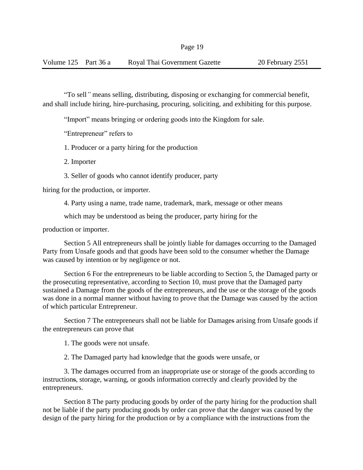"To sell*"* means selling, distributing, disposing or exchanging for commercial benefit, and shall include hiring*,* hire-purchasing, procuring, soliciting, and exhibiting for this purpose.

"Import" means bringing or ordering goods into the Kingdom for sale.

"Entrepreneur" refers to

1. Producer or a party hiring for the production

2. Importer

3. Seller of goods who cannot identify producer, party

hiring for the production, or importer.

4. Party using a name, trade name, trademark, mark, message or other means

which may be understood as being the producer, party hiring for the

production or importer.

Section 5 All entrepreneurs shall be jointly liable for damages occurring to the Damaged Party from Unsafe goods and that goods have been sold to the consumer whether the Damage was caused by intention or by negligence or not.

Section 6 For the entrepreneurs to be liable according to Section 5, the Damaged party or the prosecuting representative, according to Section 10, must prove that the Damaged party sustained a Damage from the goods of the entrepreneurs, and the use or the storage of the goods was done in a normal manner without having to prove that the Damage was caused by the action of which particular Entrepreneur.

Section 7 The entrepreneurs shall not be liable for Damages arising from Unsafe goods if the entrepreneurs can prove that

1. The goods were not unsafe.

2. The Damaged party had knowledge that the goods were unsafe, or

3. The damages occurred from an inappropriate use or storage of the goods according to instructions, storage, warning, or goods information correctly and clearly provided by the entrepreneurs.

Section 8 The party producing goods by order of the party hiring for the production shall not be liable if the party producing goods by order can prove that the danger was caused by the design of the party hiring for the production or by a compliance with the instructions from the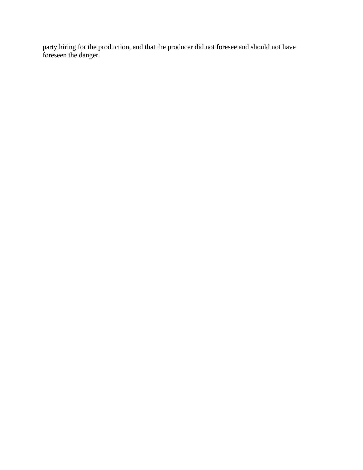party hiring for the production, and that the producer did not foresee and should not have foreseen the danger.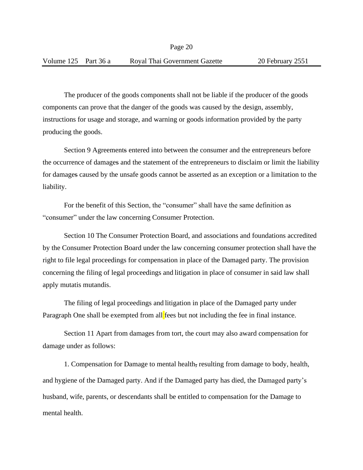The producer of the goods components shall not be liable if the producer of the goods components can prove that the danger of the goods was caused by the design, assembly, instructions for usage and storage, and warning or goods information provided by the party producing the goods.

Section 9 Agreements entered into between the consumer and the entrepreneurs before the occurrence of damages and the statement of the entrepreneurs to disclaim or limit the liability for damages caused by the unsafe goods cannot be asserted as an exception or a limitation to the liability.

For the benefit of this Section, the "consumer" shall have the same definition as "consumer" under the law concerning Consumer Protection.

Section 10 The Consumer Protection Board, and associations and foundations accredited by the Consumer Protection Board under the law concerning consumer protection shall have the right to file legal proceedings for compensation in place of the Damaged party. The provision concerning the filing of legal proceedings and litigation in place of consumer in said law shall apply mutatis mutandis.

The filing of legal proceedings and litigation in place of the Damaged party under Paragraph One shall be exempted from all fees but not including the fee in final instance.

Section 11 Apart from damages from tort, the court may also award compensation for damage under as follows:

1. Compensation for Damage to mental health, resulting from damage to body, health, and hygiene of the Damaged party. And if the Damaged party has died, the Damaged party's husband, wife, parents, or descendants shall be entitled to compensation for the Damage to mental health.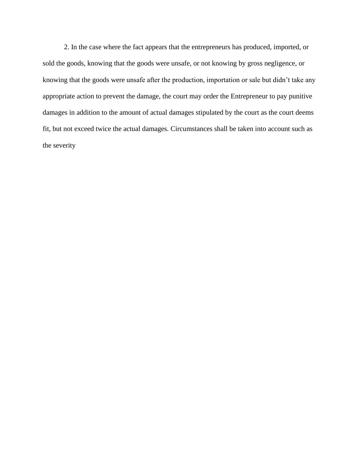2. In the case where the fact appears that the entrepreneurs has produced, imported, or sold the goods, knowing that the goods were unsafe, or not knowing by gross negligence, or knowing that the goods were unsafe after the production, importation or sale but didn't take any appropriate action to prevent the damage, the court may order the Entrepreneur to pay punitive damages in addition to the amount of actual damages stipulated by the court as the court deems fit, but not exceed twice the actual damages. Circumstances shall be taken into account such as the severity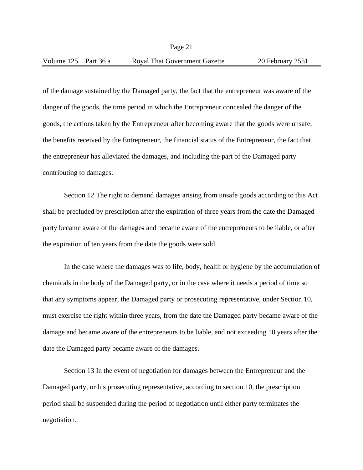Page 21

of the damage sustained by the Damaged party, the fact that the entrepreneur was aware of the danger of the goods, the time period in which the Entrepreneur concealed the danger of the goods, the actions taken by the Entrepreneur after becoming aware that the goods were unsafe, the benefits received by the Entrepreneur, the financial status of the Entrepreneur, the fact that the entrepreneur has alleviated the damages, and including the part of the Damaged party contributing to damages.

Section 12 The right to demand damages arising from unsafe goods according to this Act shall be precluded by prescription after the expiration of three years from the date the Damaged party became aware of the damages and became aware of the entrepreneurs to be liable, or after the expiration of ten years from the date the goods were sold.

In the case where the damages was to life, body, health or hygiene by the accumulation of chemicals in the body of the Damaged party, or in the case where it needs a period of time so that any symptoms appear, the Damaged party or prosecuting representative, under Section 10, must exercise the right within three years, from the date the Damaged party became aware of the damage and became aware of the entrepreneurs to be liable, and not exceeding 10 years after the date the Damaged party became aware of the damages.

Section 13 In the event of negotiation for damages between the Entrepreneur and the Damaged party, or his prosecuting representative, according to section 10, the prescription period shall be suspended during the period of negotiation until either party terminates the negotiation.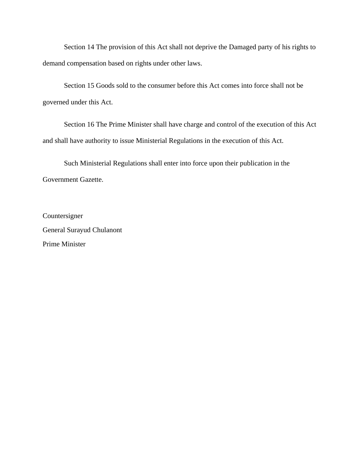Section 14 The provision of this Act shall not deprive the Damaged party of his rights to demand compensation based on rights under other laws.

Section 15 Goods sold to the consumer before this Act comes into force shall not be governed under this Act.

Section 16 The Prime Minister shall have charge and control of the execution of this Act and shall have authority to issue Ministerial Regulations in the execution of this Act.

Such Ministerial Regulations shall enter into force upon their publication in the Government Gazette.

Countersigner General Surayud Chulanont Prime Minister